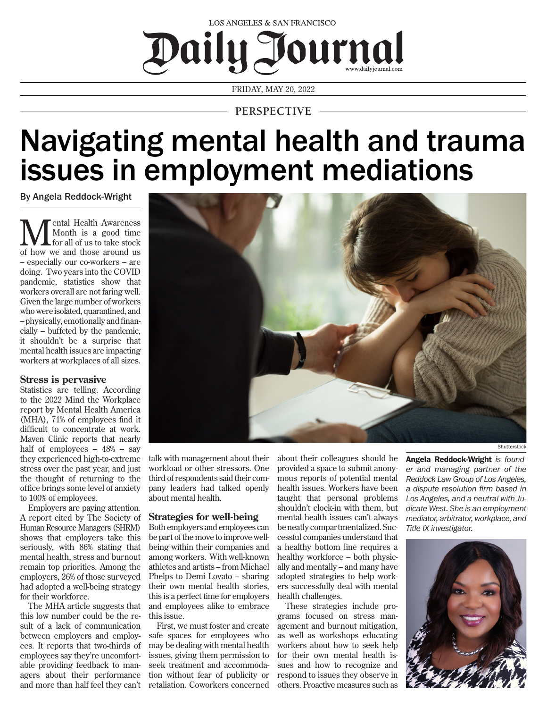

FRIDAY, MAY 20, 2022

## **PERSPECTIVE**

# Navigating mental health and trauma issues in employment mediations

By Angela Reddock-Wright

**M**ental Health Awareness<br>for all of us to take stock<br>of how we and these around us Month is a good time for all of us to take stock of how we and those around us – especially our co-workers – are doing. Two years into the COVID pandemic, statistics show that workers overall are not faring well. Given the large number of workers who were isolated, quarantined, and – physically, emotionally and financially – buffeted by the pandemic, it shouldn't be a surprise that mental health issues are impacting workers at workplaces of all sizes.

#### **Stress is pervasive**

Statistics are telling. According to the 2022 Mind the Workplace report by Mental Health America (MHA), 71% of employees find it difficult to concentrate at work. Maven Clinic reports that nearly half of employees – 48% – say they experienced high-to-extreme stress over the past year, and just the thought of returning to the office brings some level of anxiety to 100% of employees.

Employers are paying attention. A report cited by The Society of Human Resource Managers (SHRM) shows that employers take this seriously, with 86% stating that mental health, stress and burnout remain top priorities. Among the employers, 26% of those surveyed had adopted a well-being strategy for their workforce.

The MHA article suggests that this low number could be the result of a lack of communication between employers and employees. It reports that two-thirds of employees say they're uncomfortable providing feedback to managers about their performance and more than half feel they can't

talk with management about their workload or other stressors. One third of respondents said their company leaders had talked openly about mental health.

### **Strategies for well-being**

Both employers and employees can be part of the move to improve wellbeing within their companies and among workers. With well-known athletes and artists – from Michael Phelps to Demi Lovato – sharing their own mental health stories, this is a perfect time for employers and employees alike to embrace this issue.

First, we must foster and create safe spaces for employees who may be dealing with mental health issues, giving them permission to seek treatment and accommodation without fear of publicity or retaliation. Coworkers concerned about their colleagues should be provided a space to submit anonymous reports of potential mental health issues. Workers have been taught that personal problems shouldn't clock-in with them, but mental health issues can't always be neatly compartmentalized. Successful companies understand that a healthy bottom line requires a healthy workforce – both physically and mentally – and many have adopted strategies to help workers successfully deal with mental health challenges.

These strategies include programs focused on stress management and burnout mitigation, as well as workshops educating workers about how to seek help for their own mental health issues and how to recognize and respond to issues they observe in others. Proactive measures such as

Angela Reddock-Wright *is founder and managing partner of the Reddock Law Group of Los Angeles, a dispute resolution firm based in Los Angeles, and a neutral with Judicate West. She is an employment mediator, arbitrator, workplace, and Title IX investigator.*